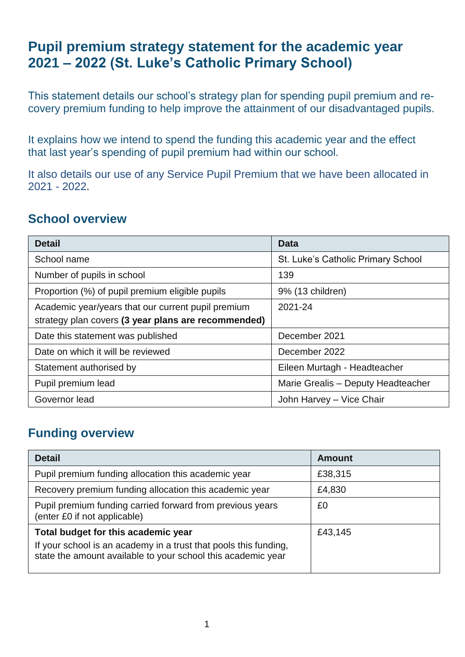# **Pupil premium strategy statement for the academic year 2021 – 2022 (St. Luke's Catholic Primary School)**

This statement details our school's strategy plan for spending pupil premium and recovery premium funding to help improve the attainment of our disadvantaged pupils.

It explains how we intend to spend the funding this academic year and the effect that last year's spending of pupil premium had within our school.

It also details our use of any Service Pupil Premium that we have been allocated in 2021 - 2022.

### **School overview**

| <b>Detail</b>                                                                                             | <b>Data</b>                        |
|-----------------------------------------------------------------------------------------------------------|------------------------------------|
| School name                                                                                               | St. Luke's Catholic Primary School |
| Number of pupils in school                                                                                | 139                                |
| Proportion (%) of pupil premium eligible pupils                                                           | 9% (13 children)                   |
| Academic year/years that our current pupil premium<br>strategy plan covers (3 year plans are recommended) | 2021-24                            |
| Date this statement was published                                                                         | December 2021                      |
| Date on which it will be reviewed                                                                         | December 2022                      |
| Statement authorised by                                                                                   | Eileen Murtagh - Headteacher       |
| Pupil premium lead                                                                                        | Marie Grealis - Deputy Headteacher |
| Governor lead                                                                                             | John Harvey - Vice Chair           |

## **Funding overview**

| <b>Detail</b>                                                                                                                                                           | <b>Amount</b> |
|-------------------------------------------------------------------------------------------------------------------------------------------------------------------------|---------------|
| Pupil premium funding allocation this academic year                                                                                                                     | £38,315       |
| Recovery premium funding allocation this academic year                                                                                                                  | £4,830        |
| Pupil premium funding carried forward from previous years<br>(enter £0 if not applicable)                                                                               | £0            |
| Total budget for this academic year<br>If your school is an academy in a trust that pools this funding,<br>state the amount available to your school this academic year | £43,145       |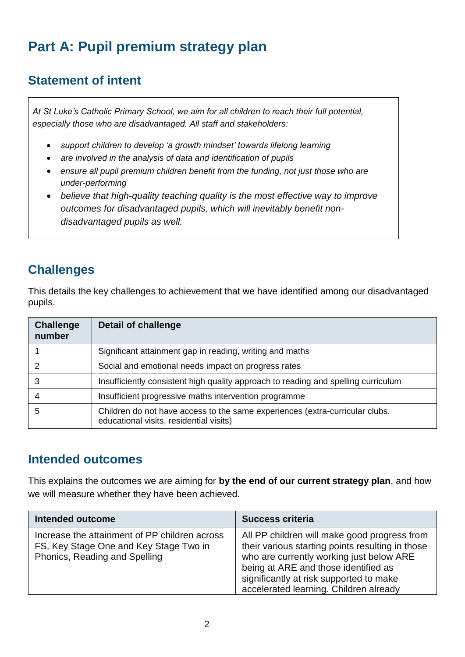# **Part A: Pupil premium strategy plan**

## **Statement of intent**

*At St Luke's Catholic Primary School, we aim for all children to reach their full potential, especially those who are disadvantaged. All staff and stakeholders:*

- *support children to develop 'a growth mindset' towards lifelong learning*
- *are involved in the analysis of data and identification of pupils*
- *ensure all pupil premium children benefit from the funding, not just those who are under-performing*
- *believe that high-quality teaching quality is the most effective way to improve outcomes for disadvantaged pupils, which will inevitably benefit nondisadvantaged pupils as well.*

# **Challenges**

This details the key challenges to achievement that we have identified among our disadvantaged pupils.

| <b>Challenge</b><br>number | <b>Detail of challenge</b>                                                                                              |
|----------------------------|-------------------------------------------------------------------------------------------------------------------------|
|                            | Significant attainment gap in reading, writing and maths                                                                |
|                            | Social and emotional needs impact on progress rates                                                                     |
|                            | Insufficiently consistent high quality approach to reading and spelling curriculum                                      |
|                            | Insufficient progressive maths intervention programme                                                                   |
| 5                          | Children do not have access to the same experiences (extra-curricular clubs,<br>educational visits, residential visits) |

#### **Intended outcomes**

This explains the outcomes we are aiming for **by the end of our current strategy plan**, and how we will measure whether they have been achieved.

| <b>Intended outcome</b>                                                                                                  | <b>Success criteria</b>                                                                                                                                                                                                                                                   |
|--------------------------------------------------------------------------------------------------------------------------|---------------------------------------------------------------------------------------------------------------------------------------------------------------------------------------------------------------------------------------------------------------------------|
| Increase the attainment of PP children across<br>FS, Key Stage One and Key Stage Two in<br>Phonics, Reading and Spelling | All PP children will make good progress from<br>their various starting points resulting in those<br>who are currently working just below ARE<br>being at ARE and those identified as<br>significantly at risk supported to make<br>accelerated learning. Children already |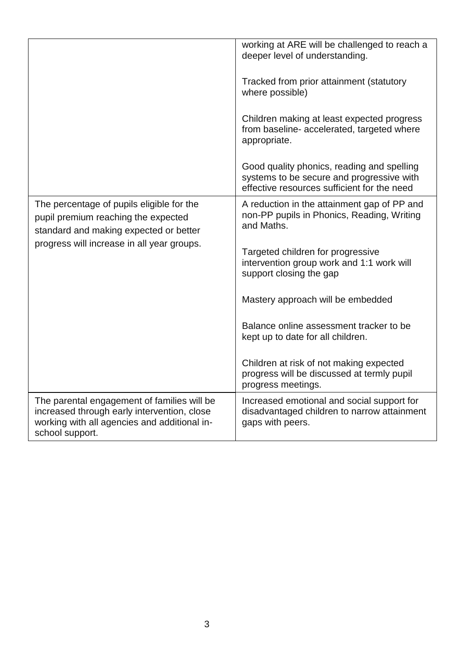|                                                                                                                                                               | working at ARE will be challenged to reach a<br>deeper level of understanding.<br>Tracked from prior attainment (statutory<br>where possible)<br>Children making at least expected progress<br>from baseline- accelerated, targeted where<br>appropriate.<br>Good quality phonics, reading and spelling |
|---------------------------------------------------------------------------------------------------------------------------------------------------------------|---------------------------------------------------------------------------------------------------------------------------------------------------------------------------------------------------------------------------------------------------------------------------------------------------------|
|                                                                                                                                                               | systems to be secure and progressive with<br>effective resources sufficient for the need                                                                                                                                                                                                                |
| The percentage of pupils eligible for the<br>pupil premium reaching the expected<br>standard and making expected or better                                    | A reduction in the attainment gap of PP and<br>non-PP pupils in Phonics, Reading, Writing<br>and Maths.                                                                                                                                                                                                 |
| progress will increase in all year groups.                                                                                                                    | Targeted children for progressive<br>intervention group work and 1:1 work will<br>support closing the gap                                                                                                                                                                                               |
|                                                                                                                                                               | Mastery approach will be embedded                                                                                                                                                                                                                                                                       |
|                                                                                                                                                               | Balance online assessment tracker to be<br>kept up to date for all children.                                                                                                                                                                                                                            |
|                                                                                                                                                               | Children at risk of not making expected<br>progress will be discussed at termly pupil<br>progress meetings.                                                                                                                                                                                             |
| The parental engagement of families will be<br>increased through early intervention, close<br>working with all agencies and additional in-<br>school support. | Increased emotional and social support for<br>disadvantaged children to narrow attainment<br>gaps with peers.                                                                                                                                                                                           |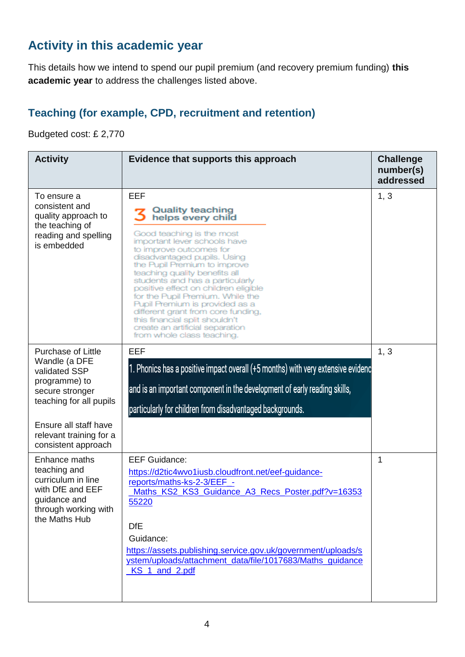## **Activity in this academic year**

This details how we intend to spend our pupil premium (and recovery premium funding) **this academic year** to address the challenges listed above.

#### **Teaching (for example, CPD, recruitment and retention)**

Budgeted cost: £ 2,770

| <b>Activity</b>                                                                                                                                                                                       | Evidence that supports this approach                                                                                                                                                                                                                                                                                                                                                                                                                                                                                                  | <b>Challenge</b><br>number(s)<br>addressed |
|-------------------------------------------------------------------------------------------------------------------------------------------------------------------------------------------------------|---------------------------------------------------------------------------------------------------------------------------------------------------------------------------------------------------------------------------------------------------------------------------------------------------------------------------------------------------------------------------------------------------------------------------------------------------------------------------------------------------------------------------------------|--------------------------------------------|
| To ensure a<br>consistent and<br>quality approach to<br>the teaching of<br>reading and spelling<br>is embedded                                                                                        | EEF<br><b>Quality teaching</b><br>helps every child<br>Good teaching is the most<br>important lever schools have<br>to improve outcomes for<br>disadvantaged pupils. Using<br>the Pupil Premium to improve<br>teaching quality benefits all<br>students and has a particularly<br>positive effect on children eligible<br>for the Pupil Premium. While the<br>Pupil Premium is provided as a<br>different grant from core funding,<br>this financial split shouldn't<br>create an artificial separation<br>from whole class teaching. | 1, 3                                       |
| <b>Purchase of Little</b><br>Wandle (a DFE<br>validated SSP<br>programme) to<br>secure stronger<br>teaching for all pupils<br>Ensure all staff have<br>relevant training for a<br>consistent approach | EEF<br>1. Phonics has a positive impact overall (+5 months) with very extensive evidenc<br>and is an important component in the development of early reading skills,<br>particularly for children from disadvantaged backgrounds.                                                                                                                                                                                                                                                                                                     | 1, 3                                       |
| Enhance maths<br>teaching and<br>curriculum in line<br>with DfE and EEF<br>guidance and<br>through working with<br>the Maths Hub                                                                      | <b>EEF Guidance:</b><br>https://d2tic4wvo1iusb.cloudfront.net/eef-guidance-<br>reports/maths-ks-2-3/EEF_-<br>Maths_KS2_KS3_Guidance_A3_Recs_Poster.pdf?v=16353<br><u>55220</u><br><b>DfE</b><br>Guidance:<br>https://assets.publishing.service.gov.uk/government/uploads/s<br>ystem/uploads/attachment_data/file/1017683/Maths_guidance<br>KS_1_and_2.pdf                                                                                                                                                                             | 1                                          |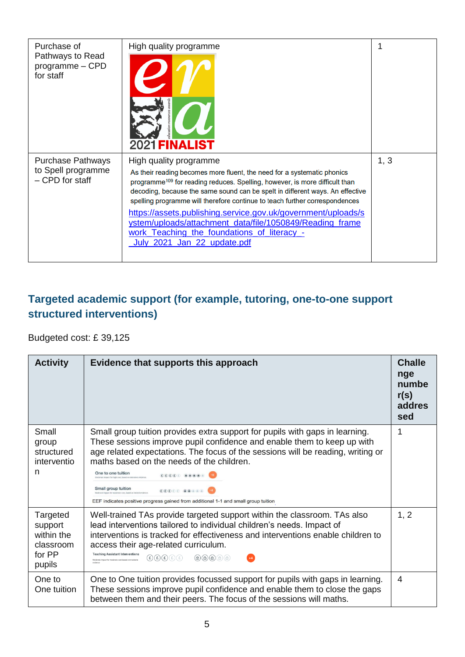| Purchase of<br>Pathways to Read<br>programme - CPD<br>for staff   | High quality programme<br>2021 <b>FINALIST</b>                                                                                                                                                                                                                                                                                                                                                                                                                                                                                                                          | 1    |
|-------------------------------------------------------------------|-------------------------------------------------------------------------------------------------------------------------------------------------------------------------------------------------------------------------------------------------------------------------------------------------------------------------------------------------------------------------------------------------------------------------------------------------------------------------------------------------------------------------------------------------------------------------|------|
| <b>Purchase Pathways</b><br>to Spell programme<br>- CPD for staff | High quality programme<br>As their reading becomes more fluent, the need for a systematic phonics<br>programme <sup>109</sup> for reading reduces. Spelling, however, is more difficult than<br>decoding, because the same sound can be spelt in different ways. An effective<br>spelling programme will therefore continue to teach further correspondences<br>https://assets.publishing.service.gov.uk/government/uploads/s<br>ystem/uploads/attachment_data/file/1050849/Reading_frame<br>work_Teaching_the_foundations_of_literacy_-<br>July 2021 Jan 22 update.pdf | 1, 3 |

### **Targeted academic support (for example, tutoring, one-to-one support structured interventions)**

Budgeted cost: £ 39,125

| <b>Activity</b>                                                    | Evidence that supports this approach                                                                                                                                                                                                                                                                                                                                                                                                                                                                                                                                                                                                                                                                                                                                                                                                               | <b>Challe</b><br>nge<br>numbe<br>r(s)<br>addres<br>sed |
|--------------------------------------------------------------------|----------------------------------------------------------------------------------------------------------------------------------------------------------------------------------------------------------------------------------------------------------------------------------------------------------------------------------------------------------------------------------------------------------------------------------------------------------------------------------------------------------------------------------------------------------------------------------------------------------------------------------------------------------------------------------------------------------------------------------------------------------------------------------------------------------------------------------------------------|--------------------------------------------------------|
| Small<br>group<br>structured<br>interventio<br>n                   | Small group tuition provides extra support for pupils with gaps in learning.<br>These sessions improve pupil confidence and enable them to keep up with<br>age related expectations. The focus of the sessions will be reading, writing or<br>maths based on the needs of the children.<br>One to one tuition<br>$\textcolor{blue}{\textcircled{\texttt{E}} \textcircled{\texttt{E}} \textcircled{\texttt{E}} \text{ \textcircled{\texttt{B}} \textcircled{\texttt{B}} \textcircled{\texttt{B}} \text{ \texttt{B}} }$<br>derate impact for high cost, based on extensive eviden<br>Small group tuition<br>$\textbf{E}(\textbf{E}) \textbf{E}(\textbf{E}) \equiv \textbf{E}(\textbf{E}) \textbf{E}(\textbf{E}) \textbf{E}(\textbf{E}) \textbf{E}(\textbf{E})$<br>EEF indicates positive progress gained from additional 1-1 and small group tuition | 1                                                      |
| Targeted<br>support<br>within the<br>classroom<br>for PP<br>pupils | Well-trained TAs provide targeted support within the classroom. TAs also<br>lead interventions tailored to individual children's needs. Impact of<br>interventions is tracked for effectiveness and interventions enable children to<br>access their age-related curriculum.<br><b>Teaching Assistant Interventions</b><br>$\textcircled{\texttt{f}}(\texttt{f})\textcircled{\texttt{f}}(\texttt{f})\textcircled{\texttt{f}}$<br>$\circledcirc$ $\circledcirc$ $\circledcirc$ $\circledcirc$<br>$+4$<br>Moderate impact for moderate cost based on moderate                                                                                                                                                                                                                                                                                        | 1, 2                                                   |
| One to<br>One tuition                                              | One to One tuition provides focussed support for pupils with gaps in learning.<br>These sessions improve pupil confidence and enable them to close the gaps<br>between them and their peers. The focus of the sessions will maths.                                                                                                                                                                                                                                                                                                                                                                                                                                                                                                                                                                                                                 | 4                                                      |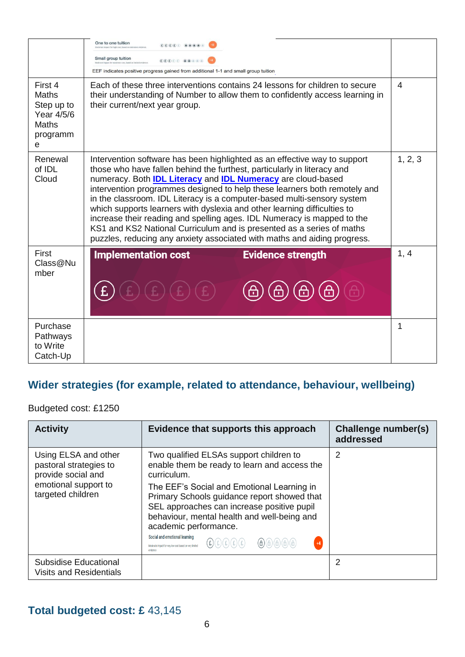|                                                                               | One to one tuition<br>$(\widehat{\mathbf{E}})(\widehat{\mathbf{E}})(\widehat{\mathbf{E}})(\widehat{\mathbf{E}}) \cdot \widehat{\mathbf{E}} = (\widehat{\mathbf{B}})(\widehat{\mathbf{B}})(\widehat{\mathbf{B}})(\widehat{\mathbf{B}}) \cdot \widehat{\mathbf{E}}$<br>joderate impact for high cost, based on exti-<br>Small group tuition<br>$\textcolor{red}{\textcolor{blue}{\bigcirc}} \textcolor{blue}{\textcolor{blue}{\mathbb{E}} \textcolor{blue}{\bigcirc}} \textcolor{blue}{\textcolor{blue}{\mathbb{E}} \textcolor{blue}{\bigcirc}} \textcolor{blue}{\textcolor{blue}{\mathbb{E}} \textcolor{blue}{\bigcirc}} \textcolor{blue}{\textcolor{blue}{\mathbb{E}} \textcolor{blue}{\bigcirc}} \textcolor{blue}{\textcolor{blue}{\mathbb{E}} \textcolor{blue}{\bigcirc}} \textcolor{blue}{\textcolor{blue}{\mathbb{E}} \textcolor{blue}{\bigcirc}} \textcolor{blue}{\textcolor{blue}{\mathbb{E}} \textcolor{blue}{\bigcirc}} \textcolor{blue}{\text$<br>EEF indicates positive progress gained from additional 1-1 and small group tuition |      |
|-------------------------------------------------------------------------------|-----------------------------------------------------------------------------------------------------------------------------------------------------------------------------------------------------------------------------------------------------------------------------------------------------------------------------------------------------------------------------------------------------------------------------------------------------------------------------------------------------------------------------------------------------------------------------------------------------------------------------------------------------------------------------------------------------------------------------------------------------------------------------------------------------------------------------------------------------------------------------------------------------------------------------------------------------------------------------------------------------------------------------------------------|------|
| First 4<br>Maths<br>Step up to<br>Year 4/5/6<br><b>Maths</b><br>programm<br>е | Each of these three interventions contains 24 lessons for children to secure<br>their understanding of Number to allow them to confidently access learning in<br>their current/next year group.                                                                                                                                                                                                                                                                                                                                                                                                                                                                                                                                                                                                                                                                                                                                                                                                                                               |      |
| Renewal<br>of IDL<br>Cloud                                                    | Intervention software has been highlighted as an effective way to support<br>those who have fallen behind the furthest, particularly in literacy and<br>numeracy. Both <b>IDL Literacy</b> and <b>IDL Numeracy</b> are cloud-based<br>intervention programmes designed to help these learners both remotely and<br>in the classroom. IDL Literacy is a computer-based multi-sensory system<br>which supports learners with dyslexia and other learning difficulties to<br>increase their reading and spelling ages. IDL Numeracy is mapped to the<br>KS1 and KS2 National Curriculum and is presented as a series of maths<br>puzzles, reducing any anxiety associated with maths and aiding progress.                                                                                                                                                                                                                                                                                                                                        |      |
| First<br>Class@Nu<br>mber                                                     | <b>Implementation cost</b><br><b>Evidence strength</b>                                                                                                                                                                                                                                                                                                                                                                                                                                                                                                                                                                                                                                                                                                                                                                                                                                                                                                                                                                                        | 1, 4 |
| Purchase<br>Pathways<br>to Write<br>Catch-Up                                  |                                                                                                                                                                                                                                                                                                                                                                                                                                                                                                                                                                                                                                                                                                                                                                                                                                                                                                                                                                                                                                               | 1    |

# **Wider strategies (for example, related to attendance, behaviour, wellbeing)**

Budgeted cost: £1250

| <b>Activity</b>                                                                                                                                                                | Evidence that supports this approach                                                                                                                                                                            | Challenge number(s)<br>addressed |
|--------------------------------------------------------------------------------------------------------------------------------------------------------------------------------|-----------------------------------------------------------------------------------------------------------------------------------------------------------------------------------------------------------------|----------------------------------|
| Using ELSA and other<br>Two qualified ELSAs support children to<br>enable them be ready to learn and access the<br>pastoral strategies to<br>provide social and<br>curriculum. |                                                                                                                                                                                                                 | 2                                |
| emotional support to<br>targeted children                                                                                                                                      | The EEF's Social and Emotional Learning in<br>Primary Schools guidance report showed that<br>SEL approaches can increase positive pupil<br>behaviour, mental health and well-being and<br>academic performance. |                                  |
|                                                                                                                                                                                | Social and emotional learning<br>$\begin{array}{ccc} \textbf{(F)} & \textbf{(F)} & \textbf{(F)} & \textbf{(F)} \end{array}$<br>$+4$<br>Moderate impact for very low cost based on very limited                  |                                  |
| Subsidise Educational<br><b>Visits and Residentials</b>                                                                                                                        |                                                                                                                                                                                                                 | 2                                |

### **Total budgeted cost: £** 43,145